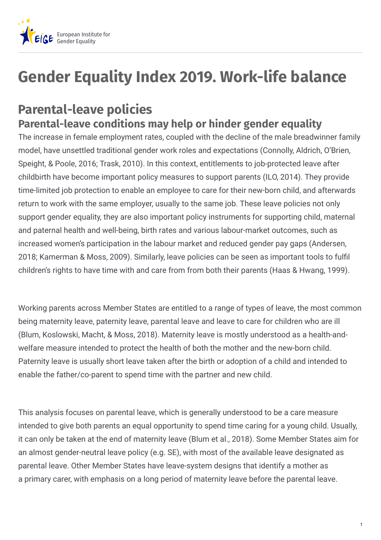

# **Gender Equality Index 2019. Work-life balance**

# **Parental-leave policies Parental-leave conditions may help or hinder gender equality**

The increase in female employment rates, coupled with the decline of the male breadwinner family model, have unsettled traditional gender work roles and expectations (Connolly, Aldrich, O'Brien, Speight, & Poole, 2016; Trask, 2010). In this context, entitlements to job-protected leave after childbirth have become important policy measures to support parents (ILO, 2014). They provide time-limited job protection to enable an employee to care for their new-born child, and afterwards return to work with the same employer, usually to the same job. These leave policies not only support gender equality, they are also important policy instruments for supporting child, maternal and paternal health and well-being, birth rates and various labour-market outcomes, such as increased women's participation in the labour market and reduced gender pay gaps (Andersen, 2018; Kamerman & Moss, 2009). Similarly, leave policies can be seen as important tools to fulfil children's rights to have time with and care from from both their parents (Haas & Hwang, 1999).

Working parents across Member States are entitled to a range of types of leave, the most common being maternity leave, paternity leave, parental leave and leave to care for children who are ill (Blum, Koslowski, Macht, & Moss, 2018). Maternity leave is mostly understood as a health-andwelfare measure intended to protect the health of both the mother and the new-born child. Paternity leave is usually short leave taken after the birth or adoption of a child and intended to enable the father/co-parent to spend time with the partner and new child.

This analysis focuses on parental leave, which is generally understood to be a care measure intended to give both parents an equal opportunity to spend time caring for a young child. Usually, it can only be taken at the end of maternity leave (Blum et al., 2018). Some Member States aim for an almost gender-neutral leave policy (e.g. SE), with most of the available leave designated as parental leave. Other Member States have leave-system designs that identify a mother as a primary carer, with emphasis on a long period of maternity leave before the parental leave.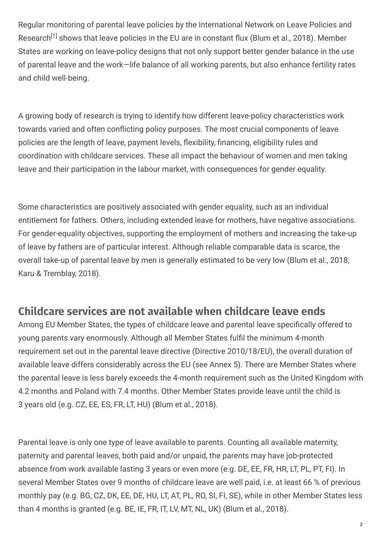Regular monitoring of parental leave policies by the International Network on Leave Policies and Research<sup>[1]</sup> shows that leave policies in the EU are in constant flux (Blum et al., 2018). Member States are working on leave-policy designs that not only support better gender balance in the use of parental leave and the work—life balance of all working parents, but also enhance fertility rates and child well-being.

A growing body of research is trying to identify how different leave-policy characteristics work towards varied and often conflicting policy purposes. The most crucial components of leave policies are the length of leave, payment levels, flexibility, financing, eligibility rules and coordination with childcare services. These all impact the behaviour of women and men taking leave and their participation in the labour market, with consequences for gender equality.

Some characteristics are positively associated with gender equality, such as an individual entitlement for fathers. Others, including extended leave for mothers, have negative associations. For gender-equality objectives, supporting the employment of mothers and increasing the take-up of leave by fathers are of particular interest. Although reliable comparable data is scarce, the overall take-up of parental leave by men is generally estimated to be very low (Blum et al., 2018; Karu & Tremblay, 2018).

#### **Childcare services are not available when childcare leave ends**

Among EU Member States, the types of childcare leave and parental leave specifically offered to young parents vary enormously. Although all Member States fulfil the minimum 4-month requirement set out in the parental leave directive (Directive 2010/18/EU), the overall duration of available leave differs considerably across the EU (see Annex 5). There are Member States where the parental leave is less barely exceeds the 4-month requirement such as the United Kingdom with 4.2 months and Poland with 7.4 months. Other Member States provide leave until the child is 3 years old (e.g. CZ, EE, ES, FR, LT, HU) (Blum et al., 2018).

Parental leave is only one type of leave available to parents. Counting all available maternity, paternity and parental leaves, both paid and/or unpaid, the parents may have job-protected absence from work available lasting 3 years or even more (e.g. DE, EE, FR, HR, LT, PL, PT, FI). In several Member States over 9 months of childcare leave are well paid, i.e. at least 66 % of previous monthly pay (e.g. BG, CZ, DK, EE, DE, HU, LT, AT, PL, RO, SI, FI, SE), while in other Member States less than 4 months is granted (e.g. BE, IE, FR, IT, LV, MT, NL, UK) (Blum et al., 2018).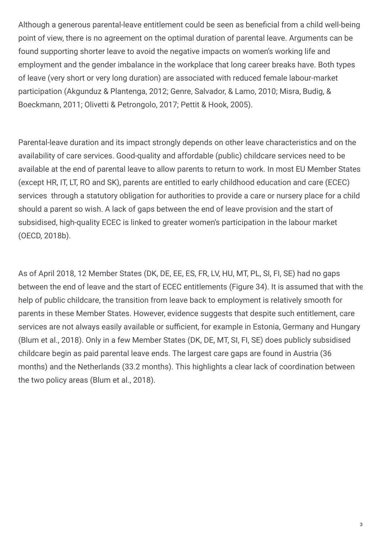Although a generous parental-leave entitlement could be seen as beneficial from a child well-being point of view, there is no agreement on the optimal duration of parental leave. Arguments can be found supporting shorter leave to avoid the negative impacts on women's working life and employment and the gender imbalance in the workplace that long career breaks have. Both types of leave (very short or very long duration) are associated with reduced female labour-market participation (Akgunduz & Plantenga, 2012; Genre, Salvador, & Lamo, 2010; Misra, Budig, & Boeckmann, 2011; Olivetti & Petrongolo, 2017; Pettit & Hook, 2005).

Parental-leave duration and its impact strongly depends on other leave characteristics and on the availability of care services. Good-quality and affordable (public) childcare services need to be available at the end of parental leave to allow parents to return to work. In most EU Member States (except HR, IT, LT, RO and SK), parents are entitled to early childhood education and care (ECEC) services through a statutory obligation for authorities to provide a care or nursery place for a child should a parent so wish. A lack of gaps between the end of leave provision and the start of subsidised, high-quality ECEC is linked to greater women's participation in the labour market (OECD, 2018b).

As of April 2018, 12 Member States (DK, DE, EE, ES, FR, LV, HU, MT, PL, SI, FI, SE) had no gaps between the end of leave and the start of ECEC entitlements (Figure 34). It is assumed that with the help of public childcare, the transition from leave back to employment is relatively smooth for parents in these Member States. However, evidence suggests that despite such entitlement, care services are not always easily available or sufficient, for example in Estonia, Germany and Hungary (Blum et al., 2018). Only in a few Member States (DK, DE, MT, SI, FI, SE) does publicly subsidised childcare begin as paid parental leave ends. The largest care gaps are found in Austria (36 months) and the Netherlands (33.2 months). This highlights a clear lack of coordination between the two policy areas (Blum et al., 2018).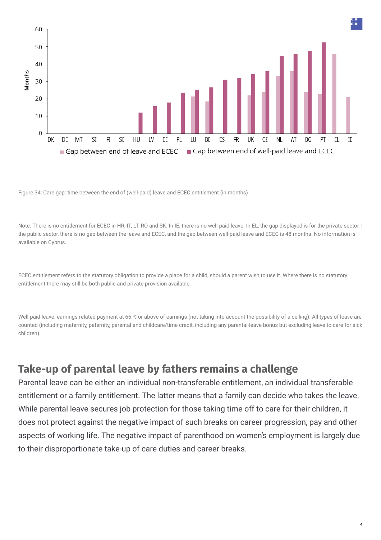

Figure 34: Care gap: time between the end of (well-paid) leave and ECEC entitlement (in months)

Note: There is no entitlement for ECEC in HR, IT, LT, RO and SK. In IE, there is no well-paid leave. In EL, the gap displayed is for the private sector. I the public sector, there is no gap between the leave and ECEC, and the gap between well-paid leave and ECEC is 48 months. No information is available on Cyprus.

ECEC entitlement refers to the statutory obligation to provide a place for a child, should a parent wish to use it. Where there is no statutory entitlement there may still be both public and private provision available.

Well-paid leave: earnings-related payment at 66 % or above of earnings (not taking into account the possibility of a ceiling). All types of leave are counted (including maternity, paternity, parental and childcare/time credit, including any parental-leave bonus but excluding leave to care for sick children).

#### **Take-up of parental leave by fathers remains a challenge**

Parental leave can be either an individual non-transferable entitlement, an individual transferable entitlement or a family entitlement. The latter means that a family can decide who takes the leave. While parental leave secures job protection for those taking time off to care for their children, it does not protect against the negative impact of such breaks on career progression, pay and other aspects of working life. The negative impact of parenthood on women's employment is largely due to their disproportionate take-up of care duties and career breaks.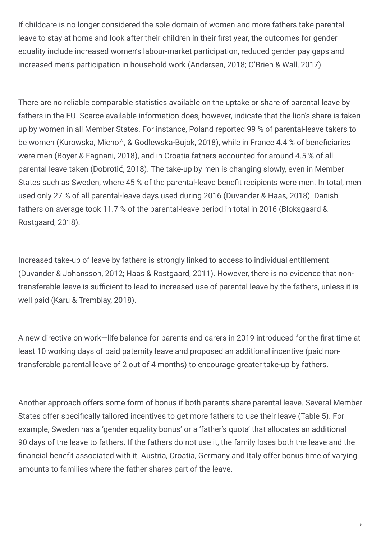If childcare is no longer considered the sole domain of women and more fathers take parental leave to stay at home and look after their children in their first year, the outcomes for gender equality include increased women's labour-market participation, reduced gender pay gaps and increased men's participation in household work (Andersen, 2018; O'Brien & Wall, 2017).

There are no reliable comparable statistics available on the uptake or share of parental leave by fathers in the EU. Scarce available information does, however, indicate that the lion's share is taken up by women in all Member States. For instance, Poland reported 99 % of parental-leave takers to be women (Kurowska, Michoń, & Godlewska-Bujok, 2018), while in France 4.4 % of beneficiaries were men (Boyer & Fagnani, 2018), and in Croatia fathers accounted for around 4.5 % of all parental leave taken (Dobrotić, 2018). The take-up by men is changing slowly, even in Member States such as Sweden, where 45 % of the parental-leave benefit recipients were men. In total, men used only 27 % of all parental-leave days used during 2016 (Duvander & Haas, 2018). Danish fathers on average took 11.7 % of the parental-leave period in total in 2016 (Bloksgaard & Rostgaard, 2018).

Increased take-up of leave by fathers is strongly linked to access to individual entitlement (Duvander & Johansson, 2012; Haas & Rostgaard, 2011). However, there is no evidence that nontransferable leave is sufficient to lead to increased use of parental leave by the fathers, unless it is well paid (Karu & Tremblay, 2018).

A new directive on work–life balance for parents and carers in 2019 introduced for the first time at least 10 working days of paid paternity leave and proposed an additional incentive (paid nontransferable parental leave of 2 out of 4 months) to encourage greater take-up by fathers.

Another approach offers some form of bonus if both parents share parental leave. Several Member States offer specifically tailored incentives to get more fathers to use their leave (Table 5). For example, Sweden has a 'gender equality bonus' or a 'father's quota' that allocates an additional 90 days of the leave to fathers. If the fathers do not use it, the family loses both the leave and the financial benefit associated with it. Austria, Croatia, Germany and Italy offer bonus time of varying amounts to families where the father shares part of the leave.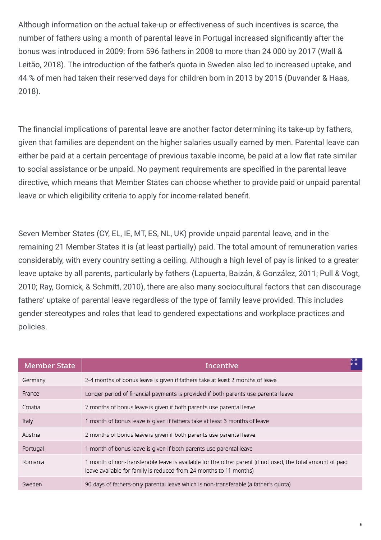Although information on the actual take-up or effectiveness of such incentives is scarce, the number of fathers using a month of parental leave in Portugal increased significantly after the bonus was introduced in 2009: from 596 fathers in 2008 to more than 24 000 by 2017 (Wall & Leitão, 2018). The introduction of the father's quota in Sweden also led to increased uptake, and 44 % of men had taken their reserved days for children born in 2013 by 2015 (Duvander & Haas, 2018).

The financial implications of parental leave are another factor determining its take-up by fathers, given that families are dependent on the higher salaries usually earned by men. Parental leave can either be paid at a certain percentage of previous taxable income, be paid at a low flat rate similar to social assistance or be unpaid. No payment requirements are specified in the parental leave directive, which means that Member States can choose whether to provide paid or unpaid parental leave or which eligibility criteria to apply for income-related benefit.

Seven Member States (CY, EL, IE, MT, ES, NL, UK) provide unpaid parental leave, and in the remaining 21 Member States it is (at least partially) paid. The total amount of remuneration varies considerably, with every country setting a ceiling. Although a high level of pay is linked to a greater leave uptake by all parents, particularly by fathers (Lapuerta, Baizán, & González, 2011; Pull & Vogt, 2010; Ray, Gornick, & Schmitt, 2010), there are also many sociocultural factors that can discourage fathers' uptake of parental leave regardless of the type of family leave provided. This includes gender stereotypes and roles that lead to gendered expectations and workplace practices and policies.

| <b>Member State</b> | Incentive                                                                                                                                                                        |
|---------------------|----------------------------------------------------------------------------------------------------------------------------------------------------------------------------------|
| Germany             | 2-4 months of bonus leave is given if fathers take at least 2 months of leave                                                                                                    |
| France              | Longer period of financial payments is provided if both parents use parental leave                                                                                               |
| Croatia             | 2 months of bonus leave is given if both parents use parental leave                                                                                                              |
| Italy               | 1 month of bonus leave is given if fathers take at least 3 months of leave                                                                                                       |
| Austria             | 2 months of bonus leave is given if both parents use parental leave                                                                                                              |
| Portugal            | 1 month of bonus leave is given if both parents use parental leave                                                                                                               |
| Romania             | 1 month of non-transferable leave is available for the other parent (if not used, the total amount of paid<br>leave available for family is reduced from 24 months to 11 months) |
| Sweden              | 90 days of fathers-only parental leave which is non-transferable (a father's quota)                                                                                              |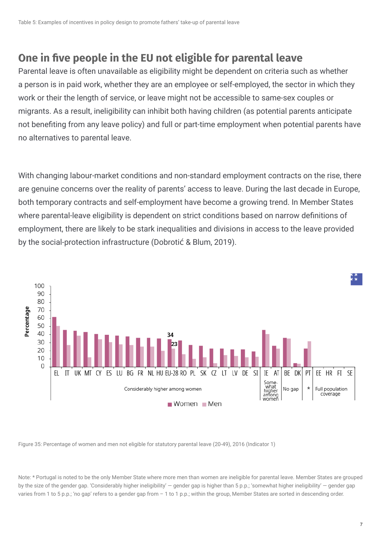#### **One in (ve people in the EU not eligible for parental leave**

Parental leave is often unavailable as eligibility might be dependent on criteria such as whether a person is in paid work, whether they are an employee or self-employed, the sector in which they work or their the length of service, or leave might not be accessible to same-sex couples or migrants. As a result, ineligibility can inhibit both having children (as potential parents anticipate not benefiting from any leave policy) and full or part-time employment when potential parents have no alternatives to parental leave.

With changing labour-market conditions and non-standard employment contracts on the rise, there are genuine concerns over the reality of parents' access to leave. During the last decade in Europe, both temporary contracts and self-employment have become a growing trend. In Member States where parental-leave eligibility is dependent on strict conditions based on narrow definitions of employment, there are likely to be stark inequalities and divisions in access to the leave provided by the social-protection infrastructure (Dobrotić & Blum, 2019).



Figure 35: Percentage of women and men not eligible for statutory parental leave (20-49), 2016 (Indicator 1)

Note: \* Portugal is noted to be the only Member State where more men than women are ineligible for parental leave. Member States are grouped by the size of the gender gap. 'Considerably higher ineligibility' — gender gap is higher than 5 p.p.; 'somewhat higher ineligibility' — gender gap varies from 1 to 5 p.p.; 'no gap' refers to a gender gap from - 1 to 1 p.p.; within the group, Member States are sorted in descending order.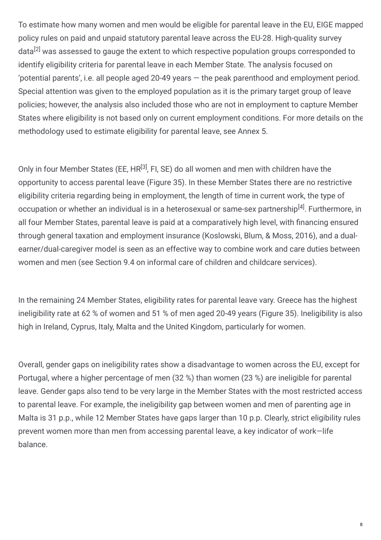To estimate how many women and men would be eligible for parental leave in the EU, EIGE mapped policy rules on paid and unpaid statutory parental leave across the EU-28. High-quality survey data<sup>[2]</sup> was assessed to gauge the extent to which respective population groups corresponded to identify eligibility criteria for parental leave in each Member State. The analysis focused on 'potential parents', i.e. all people aged 20-49 years — the peak parenthood and employment period. Special attention was given to the employed population as it is the primary target group of leave policies; however, the analysis also included those who are not in employment to capture Member States where eligibility is not based only on current employment conditions. For more details on the methodology used to estimate eligibility for parental leave, see Annex 5.

Only in four Member States (EE, HR<sup>[3]</sup>, FI, SE) do all women and men with children have the opportunity to access parental leave (Figure 35). In these Member States there are no restrictive eligibility criteria regarding being in employment, the length of time in current work, the type of occupation or whether an individual is in a heterosexual or same-sex partnership<sup>[4]</sup>. Furthermore, in all four Member States, parental leave is paid at a comparatively high level, with financing ensured through general taxation and employment insurance (Koslowski, Blum, & Moss, 2016), and a dualearner/dual-caregiver model is seen as an effective way to combine work and care duties between women and men (see Section 9.4 on informal care of children and childcare services).

In the remaining 24 Member States, eligibility rates for parental leave vary. Greece has the highest ineligibility rate at 62 % of women and 51 % of men aged 20-49 years (Figure 35). Ineligibility is also high in Ireland, Cyprus, Italy, Malta and the United Kingdom, particularly for women.

Overall, gender gaps on ineligibility rates show a disadvantage to women across the EU, except for Portugal, where a higher percentage of men (32 %) than women (23 %) are ineligible for parental leave. Gender gaps also tend to be very large in the Member States with the most restricted access to parental leave. For example, the ineligibility gap between women and men of parenting age in Malta is 31 p.p., while 12 Member States have gaps larger than 10 p.p. Clearly, strict eligibility rules prevent women more than men from accessing parental leave, a key indicator of work—life balance.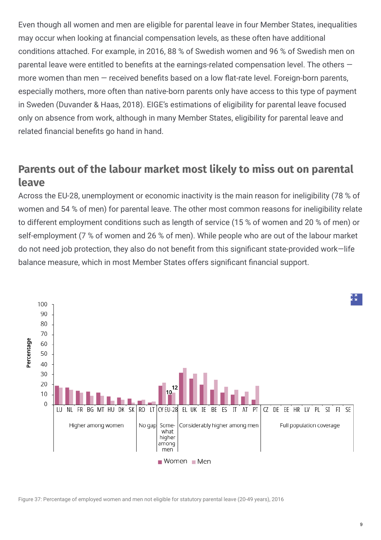Even though all women and men are eligible for parental leave in four Member States, inequalities may occur when looking at financial compensation levels, as these often have additional conditions attached. For example, in 2016, 88 % of Swedish women and 96 % of Swedish men on parental leave were entitled to benefits at the earnings-related compensation level. The others  $$ more women than men  $-$  received benefits based on a low flat-rate level. Foreign-born parents, especially mothers, more often than native-born parents only have access to this type of payment in Sweden (Duvander & Haas, 2018). EIGE's estimations of eligibility for parental leave focused only on absence from work, although in many Member States, eligibility for parental leave and related financial benefits go hand in hand.

#### **Parents out of the labour market most likely to miss out on parental leave**

Across the EU-28, unemployment or economic inactivity is the main reason for ineligibility (78 % of women and 54 % of men) for parental leave. The other most common reasons for ineligibility relate to different employment conditions such as length of service (15 % of women and 20 % of men) or self-employment (7 % of women and 26 % of men). While people who are out of the labour market do not need job protection, they also do not benefit from this significant state-provided work–life balance measure, which in most Member States offers significant financial support.



Figure 37: Percentage of employed women and men not eligible for statutory parental leave (20-49 years), 2016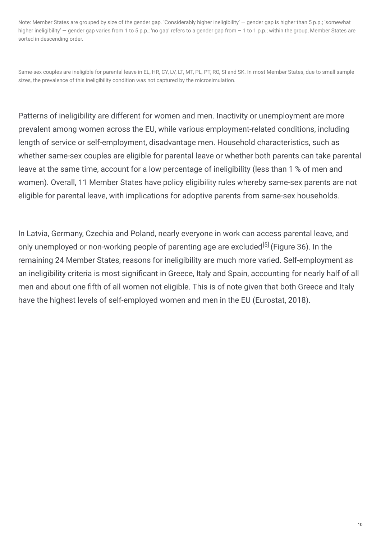Note: Member States are grouped by size of the gender gap. 'Considerably higher ineligibility' — gender gap is higher than 5 p.p.; 'somewhat higher ineligibility' — gender gap varies from 1 to 5 p.p.; 'no gap' refers to a gender gap from – 1 to 1 p.p.; within the group, Member States are sorted in descending order.

Same-sex couples are ineligible for parental leave in EL, HR, CY, LV, LT, MT, PL, PT, RO, SI and SK. In most Member States, due to small sample sizes, the prevalence of this ineligibility condition was not captured by the microsimulation.

Patterns of ineligibility are different for women and men. Inactivity or unemployment are more prevalent among women across the EU, while various employment-related conditions, including length of service or self-employment, disadvantage men. Household characteristics, such as whether same-sex couples are eligible for parental leave or whether both parents can take parental leave at the same time, account for a low percentage of ineligibility (less than 1 % of men and women). Overall, 11 Member States have policy eligibility rules whereby same-sex parents are not eligible for parental leave, with implications for adoptive parents from same-sex households.

In Latvia, Germany, Czechia and Poland, nearly everyone in work can access parental leave, and only unemployed or non-working people of parenting age are excluded<sup>[5]</sup> (Figure 36). In the remaining 24 Member States, reasons for ineligibility are much more varied. Self-employment as an ineligibility criteria is most significant in Greece, Italy and Spain, accounting for nearly half of all men and about one fifth of all women not eligible. This is of note given that both Greece and Italy have the highest levels of self-employed women and men in the EU (Eurostat, 2018).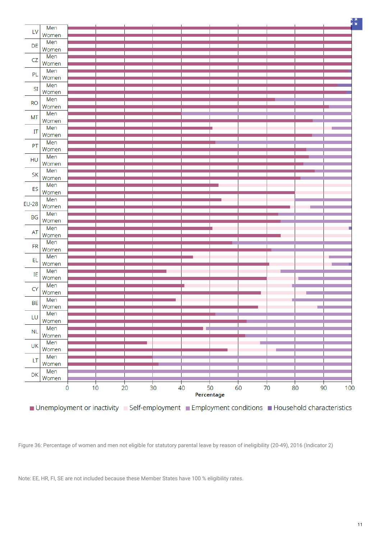

■ Unemployment or inactivity ■ Self-employment ■ Employment conditions ■ Household characteristics

Figure 36: Percentage of women and men not eligible for statutory parental leave by reason of ineligibility (20-49), 2016 (Indicator 2)

Note: EE, HR, FI, SE are not included because these Member States have 100 % eligibility rates.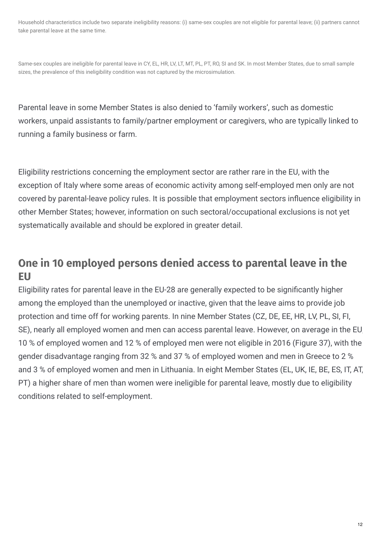Household characteristics include two separate ineligibility reasons: (i) same-sex couples are not eligible for parental leave; (ii) partners cannot take parental leave at the same time.

Same-sex couples are ineligible for parental leave in CY, EL, HR, LV, LT, MT, PL, PT, RO, SI and SK. In most Member States, due to small sample sizes, the prevalence of this ineligibility condition was not captured by the microsimulation.

Parental leave in some Member States is also denied to 'family workers', such as domestic workers, unpaid assistants to family/partner employment or caregivers, who are typically linked to running a family business or farm.

Eligibility restrictions concerning the employment sector are rather rare in the EU, with the exception of Italy where some areas of economic activity among self-employed men only are not covered by parental-leave policy rules. It is possible that employment sectors influence eligibility in other Member States; however, information on such sectoral/occupational exclusions is not yet systematically available and should be explored in greater detail.

## **One in 10 employed persons denied access to parental leave in the EU**

Eligibility rates for parental leave in the EU-28 are generally expected to be significantly higher among the employed than the unemployed or inactive, given that the leave aims to provide job protection and time off for working parents. In nine Member States (CZ, DE, EE, HR, LV, PL, SI, FI, SE), nearly all employed women and men can access parental leave. However, on average in the EU, 10 % of employed women and 12 % of employed men were not eligible in 2016 (Figure 37), with the gender disadvantage ranging from 32 % and 37 % of employed women and men in Greece to 2 % and 3 % of employed women and men in Lithuania. In eight Member States (EL, UK, IE, BE, ES, IT, AT, PT) a higher share of men than women were ineligible for parental leave, mostly due to eligibility conditions related to self-employment.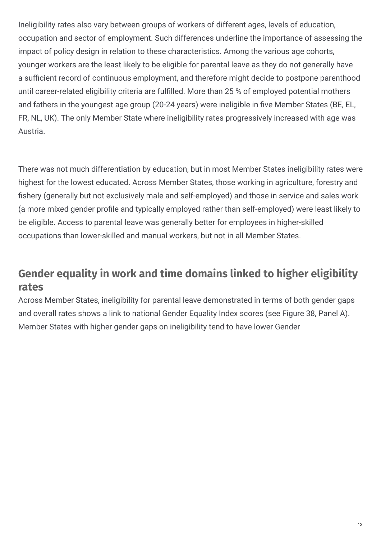Ineligibility rates also vary between groups of workers of different ages, levels of education, occupation and sector of employment. Such differences underline the importance of assessing the impact of policy design in relation to these characteristics. Among the various age cohorts, younger workers are the least likely to be eligible for parental leave as they do not generally have a sufficient record of continuous employment, and therefore might decide to postpone parenthood until career-related eligibility criteria are fulfilled. More than 25 % of employed potential mothers and fathers in the youngest age group (20-24 years) were ineligible in five Member States (BE, EL, FR, NL, UK). The only Member State where ineligibility rates progressively increased with age was Austria.

There was not much differentiation by education, but in most Member States ineligibility rates were highest for the lowest educated. Across Member States, those working in agriculture, forestry and fishery (generally but not exclusively male and self-employed) and those in service and sales work (a more mixed gender pro5le and typically employed rather than self-employed) were least likely to be eligible. Access to parental leave was generally better for employees in higher-skilled occupations than lower-skilled and manual workers, but not in all Member States.

## **Gender equality in work and time domains linked to higher eligibility rates**

Across Member States, ineligibility for parental leave demonstrated in terms of both gender gaps and overall rates shows a link to national Gender Equality Index scores (see Figure 38, Panel A). Member States with higher gender gaps on ineligibility tend to have lower Gender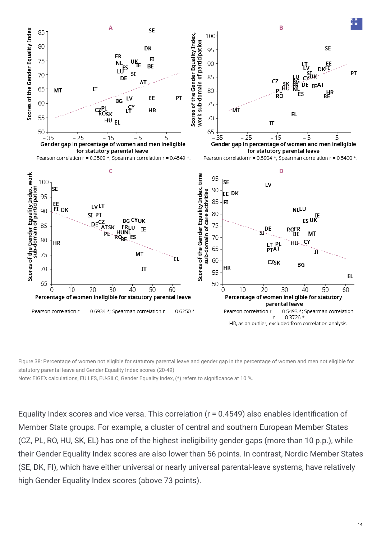

Figure 38: Percentage of women not eligible for statutory parental leave and gender gap in the percentage of women and men not eligible for statutory parental leave and Gender Equality Index scores (20-49)

Note: EIGE's calculations, EU LFS, EU-SILC, Gender Equality Index, (\*) refers to significance at 10 %.

Equality Index scores and vice versa. This correlation ( $r = 0.4549$ ) also enables identification of Member State groups. For example, a cluster of central and southern European Member States (CZ, PL, RO, HU, SK, EL) has one of the highest ineligibility gender gaps (more than 10 p.p.), while their Gender Equality Index scores are also lower than 56 points. In contrast, Nordic Member States (SE, DK, FI), which have either universal or nearly universal parental-leave systems, have relatively high Gender Equality Index scores (above 73 points).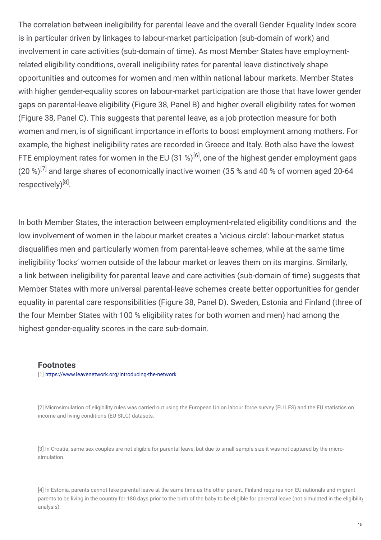The correlation between ineligibility for parental leave and the overall Gender Equality Index score is in particular driven by linkages to labour-market participation (sub-domain of work) and involvement in care activities (sub-domain of time). As most Member States have employmentrelated eligibility conditions, overall ineligibility rates for parental leave distinctively shape opportunities and outcomes for women and men within national labour markets. Member States with higher gender-equality scores on labour-market participation are those that have lower gender gaps on parental-leave eligibility (Figure 38, Panel B) and higher overall eligibility rates for women (Figure 38, Panel C). This suggests that parental leave, as a job protection measure for both women and men, is of significant importance in efforts to boost employment among mothers. For example, the highest ineligibility rates are recorded in Greece and Italy. Both also have the lowest FTE employment rates for women in the EU (31 %)<sup>[6]</sup>, one of the highest gender employment gaps (20 %)<sup>[7]</sup> and large shares of economically inactive women (35 % and 40 % of women aged 20-64 respectively)<sup>[8]</sup>.

In both Member States, the interaction between employment-related eligibility conditions and the low involvement of women in the labour market creates a 'vicious circle': labour-market status disqualifies men and particularly women from parental-leave schemes, while at the same time ineligibility 'locks' women outside of the labour market or leaves them on its margins. Similarly, a link between ineligibility for parental leave and care activities (sub-domain of time) suggests that Member States with more universal parental-leave schemes create better opportunities for gender equality in parental care responsibilities (Figure 38, Panel D). Sweden, Estonia and Finland (three of the four Member States with 100 % eligibility rates for both women and men) had among the highest gender-equality scores in the care sub-domain.

#### **Footnotes**

[1] <https://www.leavenetwork.org/introducing-the-network>

[2] Microsimulation of eligibility rules was carried out using the European Union labour force survey (EU LFS) and the EU statistics on income and living conditions (EU-SILC) datasets.

[3] In Croatia, same-sex couples are not eligible for parental leave, but due to small sample size it was not captured by the microsimulation.

[4] In Estonia, parents cannot take parental leave at the same time as the other parent. Finland requires non-EU nationals and migrant parents to be living in the country for 180 days prior to the birth of the baby to be eligible for parental leave (not simulated in the eligibility analysis).